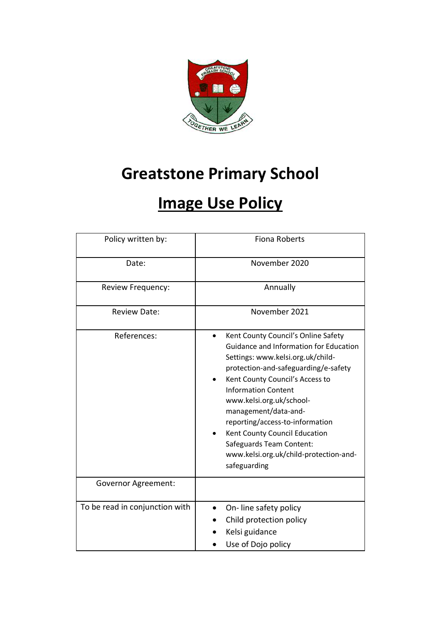

# **Greatstone Primary School**

# **Image Use Policy**

| Policy written by:             | <b>Fiona Roberts</b>                                                                                                                                                                                                                                                                                                                                                                                                                             |  |  |
|--------------------------------|--------------------------------------------------------------------------------------------------------------------------------------------------------------------------------------------------------------------------------------------------------------------------------------------------------------------------------------------------------------------------------------------------------------------------------------------------|--|--|
| Date:                          | November 2020                                                                                                                                                                                                                                                                                                                                                                                                                                    |  |  |
| Review Frequency:              | Annually                                                                                                                                                                                                                                                                                                                                                                                                                                         |  |  |
| <b>Review Date:</b>            | November 2021                                                                                                                                                                                                                                                                                                                                                                                                                                    |  |  |
| References:                    | Kent County Council's Online Safety<br><b>Guidance and Information for Education</b><br>Settings: www.kelsi.org.uk/child-<br>protection-and-safeguarding/e-safety<br>Kent County Council's Access to<br><b>Information Content</b><br>www.kelsi.org.uk/school-<br>management/data-and-<br>reporting/access-to-information<br>Kent County Council Education<br>Safeguards Team Content:<br>www.kelsi.org.uk/child-protection-and-<br>safeguarding |  |  |
| <b>Governor Agreement:</b>     |                                                                                                                                                                                                                                                                                                                                                                                                                                                  |  |  |
| To be read in conjunction with | On-line safety policy<br>Child protection policy<br>Kelsi guidance<br>Use of Dojo policy                                                                                                                                                                                                                                                                                                                                                         |  |  |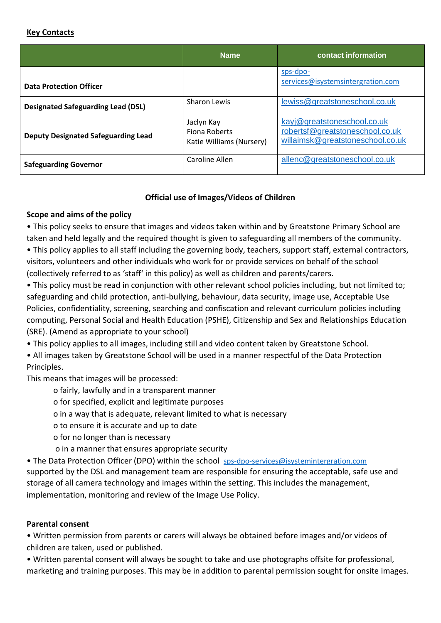#### **Key Contacts**

|                                            | <b>Name</b>                                                    | contact information                                                                                |
|--------------------------------------------|----------------------------------------------------------------|----------------------------------------------------------------------------------------------------|
| <b>Data Protection Officer</b>             |                                                                | sps-dpo-<br>services@isystemsintergration.com                                                      |
| <b>Designated Safeguarding Lead (DSL)</b>  | <b>Sharon Lewis</b>                                            | lewiss@greatstoneschool.co.uk                                                                      |
| <b>Deputy Designated Safeguarding Lead</b> | Jaclyn Kay<br><b>Fiona Roberts</b><br>Katie Williams (Nursery) | kayj@greatstoneschool.co.uk<br>robertsf@greatstoneschool.co.uk<br>willaimsk@greatstoneschool.co.uk |
| <b>Safeguarding Governor</b>               | Caroline Allen                                                 | allenc@greatstoneschool.co.uk                                                                      |

## **Official use of Images/Videos of Children**

## **Scope and aims of the policy**

• This policy seeks to ensure that images and videos taken within and by Greatstone Primary School are taken and held legally and the required thought is given to safeguarding all members of the community.

• This policy applies to all staff including the governing body, teachers, support staff, external contractors, visitors, volunteers and other individuals who work for or provide services on behalf of the school (collectively referred to as 'staff' in this policy) as well as children and parents/carers.

• This policy must be read in conjunction with other relevant school policies including, but not limited to; safeguarding and child protection, anti-bullying, behaviour, data security, image use, Acceptable Use Policies, confidentiality, screening, searching and confiscation and relevant curriculum policies including computing, Personal Social and Health Education (PSHE), Citizenship and Sex and Relationships Education (SRE). (Amend as appropriate to your school)

• This policy applies to all images, including still and video content taken by Greatstone School.

• All images taken by Greatstone School will be used in a manner respectful of the Data Protection Principles.

This means that images will be processed:

o fairly, lawfully and in a transparent manner

- o for specified, explicit and legitimate purposes
- o in a way that is adequate, relevant limited to what is necessary

o to ensure it is accurate and up to date

- o for no longer than is necessary
- o in a manner that ensures appropriate security

• The Data Protection Officer (DPO) within the school [sps-dpo-services@isystemintergration.com](mailto:sps-dpo-services@isystemintergration.com)

supported by the DSL and management team are responsible for ensuring the acceptable, safe use and storage of all camera technology and images within the setting. This includes the management, implementation, monitoring and review of the Image Use Policy.

## **Parental consent**

• Written permission from parents or carers will always be obtained before images and/or videos of children are taken, used or published.

• Written parental consent will always be sought to take and use photographs offsite for professional, marketing and training purposes. This may be in addition to parental permission sought for onsite images.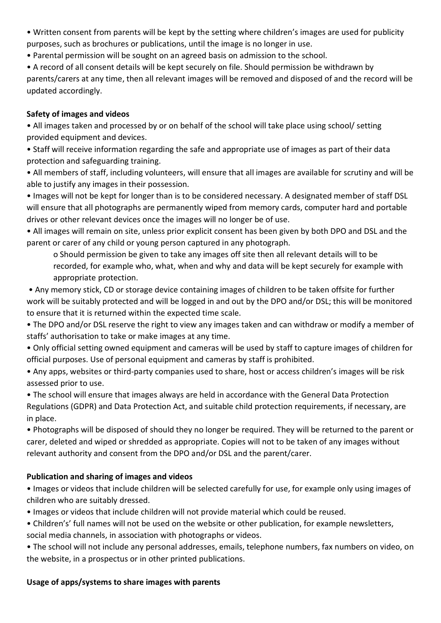- Written consent from parents will be kept by the setting where children's images are used for publicity purposes, such as brochures or publications, until the image is no longer in use.
- Parental permission will be sought on an agreed basis on admission to the school.

• A record of all consent details will be kept securely on file. Should permission be withdrawn by parents/carers at any time, then all relevant images will be removed and disposed of and the record will be updated accordingly.

# **Safety of images and videos**

• All images taken and processed by or on behalf of the school will take place using school/ setting provided equipment and devices.

• Staff will receive information regarding the safe and appropriate use of images as part of their data protection and safeguarding training.

• All members of staff, including volunteers, will ensure that all images are available for scrutiny and will be able to justify any images in their possession.

• Images will not be kept for longer than is to be considered necessary. A designated member of staff DSL will ensure that all photographs are permanently wiped from memory cards, computer hard and portable drives or other relevant devices once the images will no longer be of use.

• All images will remain on site, unless prior explicit consent has been given by both DPO and DSL and the parent or carer of any child or young person captured in any photograph.

o Should permission be given to take any images off site then all relevant details will to be recorded, for example who, what, when and why and data will be kept securely for example with appropriate protection.

• Any memory stick, CD or storage device containing images of children to be taken offsite for further work will be suitably protected and will be logged in and out by the DPO and/or DSL; this will be monitored to ensure that it is returned within the expected time scale.

• The DPO and/or DSL reserve the right to view any images taken and can withdraw or modify a member of staffs' authorisation to take or make images at any time.

• Only official setting owned equipment and cameras will be used by staff to capture images of children for official purposes. Use of personal equipment and cameras by staff is prohibited.

• Any apps, websites or third-party companies used to share, host or access children's images will be risk assessed prior to use.

• The school will ensure that images always are held in accordance with the General Data Protection Regulations (GDPR) and Data Protection Act, and suitable child protection requirements, if necessary, are in place.

• Photographs will be disposed of should they no longer be required. They will be returned to the parent or carer, deleted and wiped or shredded as appropriate. Copies will not to be taken of any images without relevant authority and consent from the DPO and/or DSL and the parent/carer.

# **Publication and sharing of images and videos**

• Images or videos that include children will be selected carefully for use, for example only using images of children who are suitably dressed.

- Images or videos that include children will not provide material which could be reused.
- Children's' full names will not be used on the website or other publication, for example newsletters, social media channels, in association with photographs or videos.

• The school will not include any personal addresses, emails, telephone numbers, fax numbers on video, on the website, in a prospectus or in other printed publications.

# **Usage of apps/systems to share images with parents**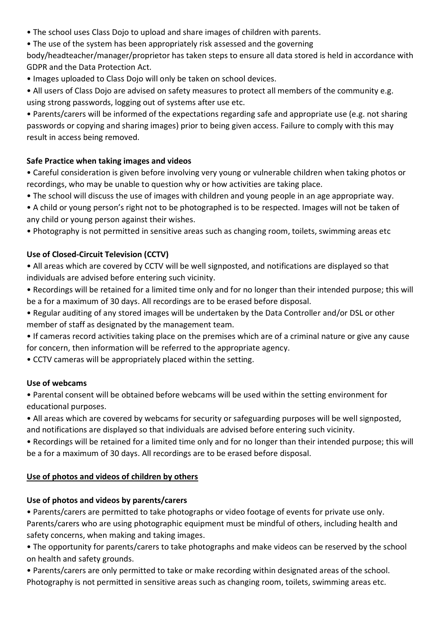- The school uses Class Dojo to upload and share images of children with parents.
- The use of the system has been appropriately risk assessed and the governing

body/headteacher/manager/proprietor has taken steps to ensure all data stored is held in accordance with GDPR and the Data Protection Act.

• Images uploaded to Class Dojo will only be taken on school devices.

• All users of Class Dojo are advised on safety measures to protect all members of the community e.g. using strong passwords, logging out of systems after use etc.

• Parents/carers will be informed of the expectations regarding safe and appropriate use (e.g. not sharing passwords or copying and sharing images) prior to being given access. Failure to comply with this may result in access being removed.

## **Safe Practice when taking images and videos**

• Careful consideration is given before involving very young or vulnerable children when taking photos or recordings, who may be unable to question why or how activities are taking place.

- The school will discuss the use of images with children and young people in an age appropriate way.
- A child or young person's right not to be photographed is to be respected. Images will not be taken of any child or young person against their wishes.

• Photography is not permitted in sensitive areas such as changing room, toilets, swimming areas etc

## **Use of Closed-Circuit Television (CCTV)**

- All areas which are covered by CCTV will be well signposted, and notifications are displayed so that individuals are advised before entering such vicinity.
- Recordings will be retained for a limited time only and for no longer than their intended purpose; this will be a for a maximum of 30 days. All recordings are to be erased before disposal.
- Regular auditing of any stored images will be undertaken by the Data Controller and/or DSL or other member of staff as designated by the management team.
- If cameras record activities taking place on the premises which are of a criminal nature or give any cause for concern, then information will be referred to the appropriate agency.

• CCTV cameras will be appropriately placed within the setting.

## **Use of webcams**

• Parental consent will be obtained before webcams will be used within the setting environment for educational purposes.

• All areas which are covered by webcams for security or safeguarding purposes will be well signposted, and notifications are displayed so that individuals are advised before entering such vicinity.

• Recordings will be retained for a limited time only and for no longer than their intended purpose; this will be a for a maximum of 30 days. All recordings are to be erased before disposal.

# **Use of photos and videos of children by others**

# **Use of photos and videos by parents/carers**

• Parents/carers are permitted to take photographs or video footage of events for private use only. Parents/carers who are using photographic equipment must be mindful of others, including health and safety concerns, when making and taking images.

• The opportunity for parents/carers to take photographs and make videos can be reserved by the school on health and safety grounds.

• Parents/carers are only permitted to take or make recording within designated areas of the school. Photography is not permitted in sensitive areas such as changing room, toilets, swimming areas etc.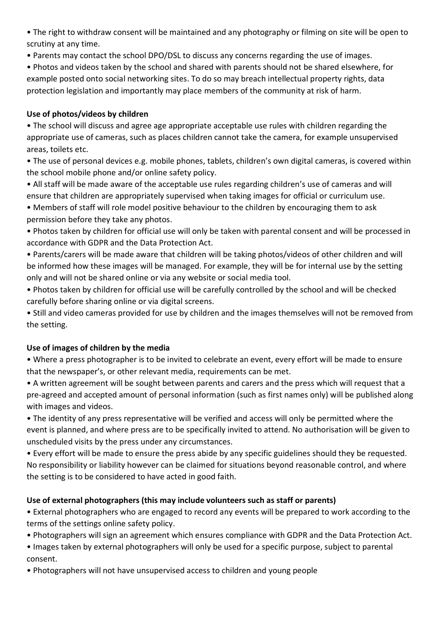• The right to withdraw consent will be maintained and any photography or filming on site will be open to scrutiny at any time.

• Parents may contact the school DPO/DSL to discuss any concerns regarding the use of images.

• Photos and videos taken by the school and shared with parents should not be shared elsewhere, for example posted onto social networking sites. To do so may breach intellectual property rights, data protection legislation and importantly may place members of the community at risk of harm.

# **Use of photos/videos by children**

• The school will discuss and agree age appropriate acceptable use rules with children regarding the appropriate use of cameras, such as places children cannot take the camera, for example unsupervised areas, toilets etc.

• The use of personal devices e.g. mobile phones, tablets, children's own digital cameras, is covered within the school mobile phone and/or online safety policy.

• All staff will be made aware of the acceptable use rules regarding children's use of cameras and will ensure that children are appropriately supervised when taking images for official or curriculum use.

• Members of staff will role model positive behaviour to the children by encouraging them to ask permission before they take any photos.

- Photos taken by children for official use will only be taken with parental consent and will be processed in accordance with GDPR and the Data Protection Act.
- Parents/carers will be made aware that children will be taking photos/videos of other children and will be informed how these images will be managed. For example, they will be for internal use by the setting only and will not be shared online or via any website or social media tool.
- Photos taken by children for official use will be carefully controlled by the school and will be checked carefully before sharing online or via digital screens.

• Still and video cameras provided for use by children and the images themselves will not be removed from the setting.

# **Use of images of children by the media**

• Where a press photographer is to be invited to celebrate an event, every effort will be made to ensure that the newspaper's, or other relevant media, requirements can be met.

• A written agreement will be sought between parents and carers and the press which will request that a pre-agreed and accepted amount of personal information (such as first names only) will be published along with images and videos.

• The identity of any press representative will be verified and access will only be permitted where the event is planned, and where press are to be specifically invited to attend. No authorisation will be given to unscheduled visits by the press under any circumstances.

• Every effort will be made to ensure the press abide by any specific guidelines should they be requested. No responsibility or liability however can be claimed for situations beyond reasonable control, and where the setting is to be considered to have acted in good faith.

# **Use of external photographers (this may include volunteers such as staff or parents)**

• External photographers who are engaged to record any events will be prepared to work according to the terms of the settings online safety policy.

• Photographers will sign an agreement which ensures compliance with GDPR and the Data Protection Act.

• Images taken by external photographers will only be used for a specific purpose, subject to parental consent.

• Photographers will not have unsupervised access to children and young people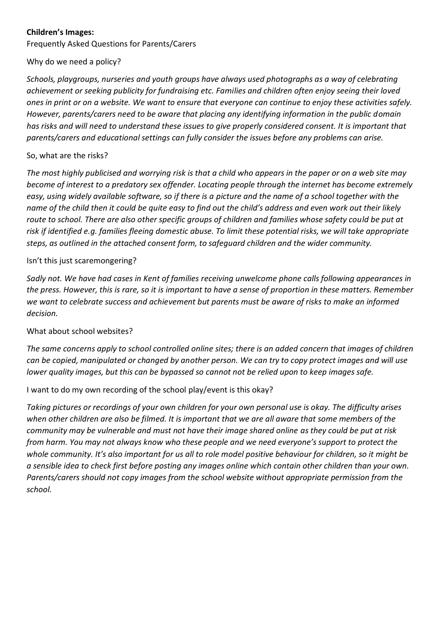## **Children's Images:**

Frequently Asked Questions for Parents/Carers

## Why do we need a policy?

*Schools, playgroups, nurseries and youth groups have always used photographs as a way of celebrating achievement or seeking publicity for fundraising etc. Families and children often enjoy seeing their loved ones in print or on a website. We want to ensure that everyone can continue to enjoy these activities safely. However, parents/carers need to be aware that placing any identifying information in the public domain has risks and will need to understand these issues to give properly considered consent. It is important that parents/carers and educational settings can fully consider the issues before any problems can arise.* 

## So, what are the risks?

*The most highly publicised and worrying risk is that a child who appears in the paper or on a web site may become of interest to a predatory sex offender. Locating people through the internet has become extremely easy, using widely available software, so if there is a picture and the name of a school together with the name of the child then it could be quite easy to find out the child's address and even work out their likely route to school. There are also other specific groups of children and families whose safety could be put at risk if identified e.g. families fleeing domestic abuse. To limit these potential risks, we will take appropriate steps, as outlined in the attached consent form, to safeguard children and the wider community.* 

## Isn't this just scaremongering?

*Sadly not. We have had cases in Kent of families receiving unwelcome phone calls following appearances in the press. However, this is rare, so it is important to have a sense of proportion in these matters. Remember we want to celebrate success and achievement but parents must be aware of risks to make an informed decision.* 

## What about school websites?

*The same concerns apply to school controlled online sites; there is an added concern that images of children can be copied, manipulated or changed by another person. We can try to copy protect images and will use lower quality images, but this can be bypassed so cannot not be relied upon to keep images safe.* 

# I want to do my own recording of the school play/event is this okay?

*Taking pictures or recordings of your own children for your own personal use is okay. The difficulty arises when other children are also be filmed. It is important that we are all aware that some members of the community may be vulnerable and must not have their image shared online as they could be put at risk from harm. You may not always know who these people and we need everyone's support to protect the whole community. It's also important for us all to role model positive behaviour for children, so it might be a sensible idea to check first before posting any images online which contain other children than your own. Parents/carers should not copy images from the school website without appropriate permission from the school.*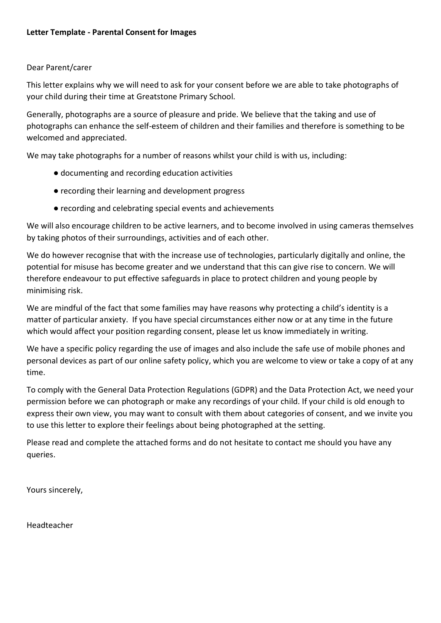#### Dear Parent/carer

This letter explains why we will need to ask for your consent before we are able to take photographs of your child during their time at Greatstone Primary School.

Generally, photographs are a source of pleasure and pride. We believe that the taking and use of photographs can enhance the self-esteem of children and their families and therefore is something to be welcomed and appreciated.

We may take photographs for a number of reasons whilst your child is with us, including:

- documenting and recording education activities
- recording their learning and development progress
- recording and celebrating special events and achievements

We will also encourage children to be active learners, and to become involved in using cameras themselves by taking photos of their surroundings, activities and of each other.

We do however recognise that with the increase use of technologies, particularly digitally and online, the potential for misuse has become greater and we understand that this can give rise to concern. We will therefore endeavour to put effective safeguards in place to protect children and young people by minimising risk.

We are mindful of the fact that some families may have reasons why protecting a child's identity is a matter of particular anxiety. If you have special circumstances either now or at any time in the future which would affect your position regarding consent, please let us know immediately in writing.

We have a specific policy regarding the use of images and also include the safe use of mobile phones and personal devices as part of our online safety policy, which you are welcome to view or take a copy of at any time.

To comply with the General Data Protection Regulations (GDPR) and the Data Protection Act, we need your permission before we can photograph or make any recordings of your child. If your child is old enough to express their own view, you may want to consult with them about categories of consent, and we invite you to use this letter to explore their feelings about being photographed at the setting.

Please read and complete the attached forms and do not hesitate to contact me should you have any queries.

Yours sincerely,

Headteacher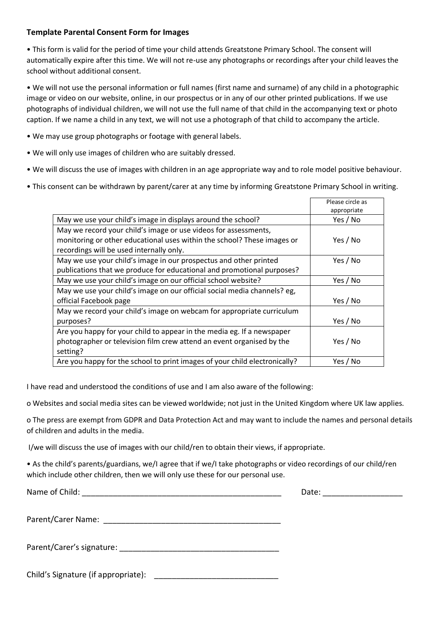#### **Template Parental Consent Form for Images**

• This form is valid for the period of time your child attends Greatstone Primary School. The consent will automatically expire after this time. We will not re-use any photographs or recordings after your child leaves the school without additional consent.

• We will not use the personal information or full names (first name and surname) of any child in a photographic image or video on our website, online, in our prospectus or in any of our other printed publications. If we use photographs of individual children, we will not use the full name of that child in the accompanying text or photo caption. If we name a child in any text, we will not use a photograph of that child to accompany the article.

- We may use group photographs or footage with general labels.
- We will only use images of children who are suitably dressed.
- We will discuss the use of images with children in an age appropriate way and to role model positive behaviour.
- This consent can be withdrawn by parent/carer at any time by informing Greatstone Primary School in writing.

|                                                                            | Please circle as |
|----------------------------------------------------------------------------|------------------|
|                                                                            | appropriate      |
| May we use your child's image in displays around the school?               | Yes / No         |
| May we record your child's image or use videos for assessments,            |                  |
| monitoring or other educational uses within the school? These images or    | Yes / No         |
| recordings will be used internally only.                                   |                  |
| May we use your child's image in our prospectus and other printed          | Yes / No         |
| publications that we produce for educational and promotional purposes?     |                  |
| May we use your child's image on our official school website?              | Yes / No         |
| May we use your child's image on our official social media channels? eg,   |                  |
| official Facebook page                                                     | Yes / No         |
| May we record your child's image on webcam for appropriate curriculum      |                  |
| purposes?                                                                  | Yes / No         |
| Are you happy for your child to appear in the media eg. If a newspaper     |                  |
| photographer or television film crew attend an event organised by the      | Yes / No         |
| setting?                                                                   |                  |
| Are you happy for the school to print images of your child electronically? | Yes / No         |

I have read and understood the conditions of use and I am also aware of the following:

o Websites and social media sites can be viewed worldwide; not just in the United Kingdom where UK law applies.

o The press are exempt from GDPR and Data Protection Act and may want to include the names and personal details of children and adults in the media.

I/we will discuss the use of images with our child/ren to obtain their views, if appropriate.

• As the child's parents/guardians, we/I agree that if we/I take photographs or video recordings of our child/ren which include other children, then we will only use these for our personal use.

Name of Child: \_\_\_\_\_\_\_\_\_\_\_\_\_\_\_\_\_\_\_\_\_\_\_\_\_\_\_\_\_\_\_\_\_\_\_\_\_\_\_\_\_\_\_\_\_ Date: \_\_\_\_\_\_\_\_\_\_\_\_\_\_\_\_\_\_

Parent/Carer Name:

Parent/Carer's signature:

Child's Signature (if appropriate): \_\_\_\_\_\_\_\_\_\_\_\_\_\_\_\_\_\_\_\_\_\_\_\_\_\_\_\_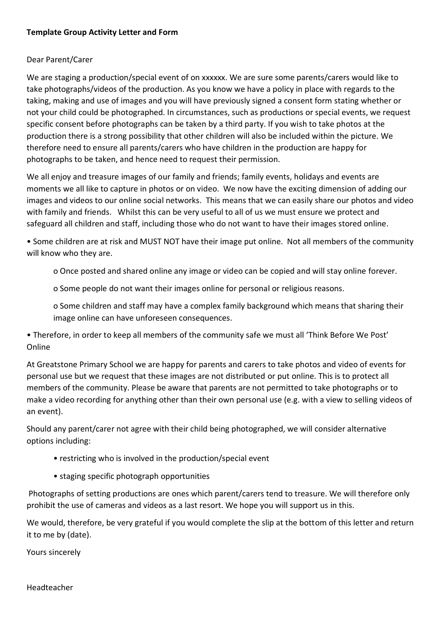#### **Template Group Activity Letter and Form**

#### Dear Parent/Carer

We are staging a production/special event of on xxxxxx. We are sure some parents/carers would like to take photographs/videos of the production. As you know we have a policy in place with regards to the taking, making and use of images and you will have previously signed a consent form stating whether or not your child could be photographed. In circumstances, such as productions or special events, we request specific consent before photographs can be taken by a third party. If you wish to take photos at the production there is a strong possibility that other children will also be included within the picture. We therefore need to ensure all parents/carers who have children in the production are happy for photographs to be taken, and hence need to request their permission.

We all enjoy and treasure images of our family and friends; family events, holidays and events are moments we all like to capture in photos or on video. We now have the exciting dimension of adding our images and videos to our online social networks. This means that we can easily share our photos and video with family and friends. Whilst this can be very useful to all of us we must ensure we protect and safeguard all children and staff, including those who do not want to have their images stored online.

• Some children are at risk and MUST NOT have their image put online. Not all members of the community will know who they are.

o Once posted and shared online any image or video can be copied and will stay online forever.

o Some people do not want their images online for personal or religious reasons.

o Some children and staff may have a complex family background which means that sharing their image online can have unforeseen consequences.

• Therefore, in order to keep all members of the community safe we must all 'Think Before We Post' Online

At Greatstone Primary School we are happy for parents and carers to take photos and video of events for personal use but we request that these images are not distributed or put online. This is to protect all members of the community. Please be aware that parents are not permitted to take photographs or to make a video recording for anything other than their own personal use (e.g. with a view to selling videos of an event).

Should any parent/carer not agree with their child being photographed, we will consider alternative options including:

- restricting who is involved in the production/special event
- staging specific photograph opportunities

Photographs of setting productions are ones which parent/carers tend to treasure. We will therefore only prohibit the use of cameras and videos as a last resort. We hope you will support us in this.

We would, therefore, be very grateful if you would complete the slip at the bottom of this letter and return it to me by (date).

Yours sincerely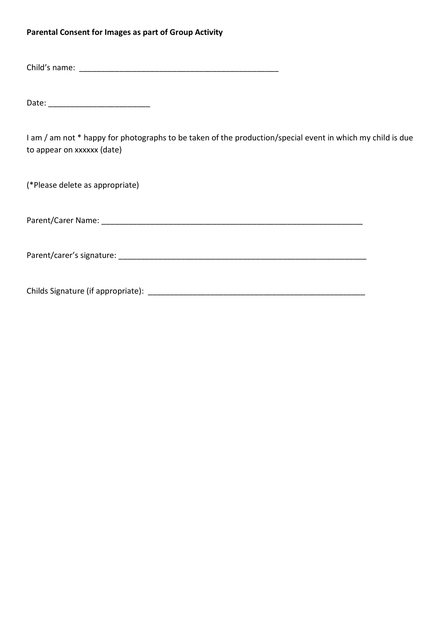#### **Parental Consent for Images as part of Group Activity**

Child's name: \_\_\_\_\_\_\_\_\_\_\_\_\_\_\_\_\_\_\_\_\_\_\_\_\_\_\_\_\_\_\_\_\_\_\_\_\_\_\_\_\_\_\_\_\_

Date: \_\_\_\_\_\_\_\_\_\_\_\_\_\_\_\_\_\_\_\_\_\_\_

I am / am not \* happy for photographs to be taken of the production/special event in which my child is due to appear on xxxxxx (date)

(\*Please delete as appropriate)

Parent/Carer Name: \_\_\_\_\_\_\_\_\_\_\_\_\_\_\_\_\_\_\_\_\_\_\_\_\_\_\_\_\_\_\_\_\_\_\_\_\_\_\_\_\_\_\_\_\_\_\_\_\_\_\_\_\_\_\_\_\_\_\_

Parent/carer's signature: **Example 2018** 

Childs Signature (if appropriate): \_\_\_\_\_\_\_\_\_\_\_\_\_\_\_\_\_\_\_\_\_\_\_\_\_\_\_\_\_\_\_\_\_\_\_\_\_\_\_\_\_\_\_\_\_\_\_\_\_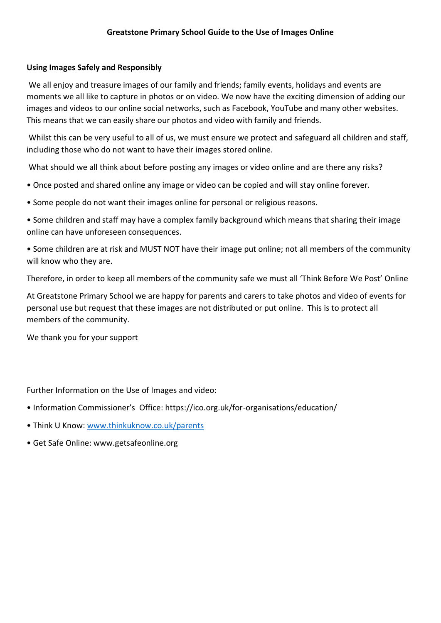## **Using Images Safely and Responsibly**

We all enjoy and treasure images of our family and friends; family events, holidays and events are moments we all like to capture in photos or on video. We now have the exciting dimension of adding our images and videos to our online social networks, such as Facebook, YouTube and many other websites. This means that we can easily share our photos and video with family and friends.

Whilst this can be very useful to all of us, we must ensure we protect and safeguard all children and staff, including those who do not want to have their images stored online.

What should we all think about before posting any images or video online and are there any risks?

- Once posted and shared online any image or video can be copied and will stay online forever.
- Some people do not want their images online for personal or religious reasons.
- Some children and staff may have a complex family background which means that sharing their image online can have unforeseen consequences.
- Some children are at risk and MUST NOT have their image put online; not all members of the community will know who they are.

Therefore, in order to keep all members of the community safe we must all 'Think Before We Post' Online

At Greatstone Primary School we are happy for parents and carers to take photos and video of events for personal use but request that these images are not distributed or put online. This is to protect all members of the community.

We thank you for your support

Further Information on the Use of Images and video:

- Information Commissioner's Office: https://ico.org.uk/for-organisations/education/
- Think U Know: [www.thinkuknow.co.uk/parents](http://www.thinkuknow.co.uk/parents)
- Get Safe Online: www.getsafeonline.org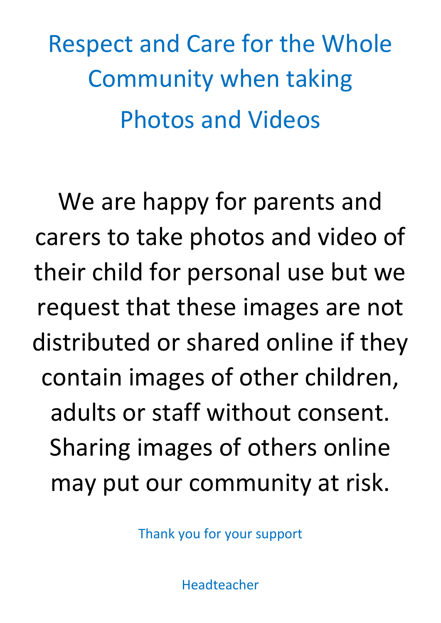Respect and Care for the Whole Community when taking Photos and Videos

We are happy for parents and carers to take photos and video of their child for personal use but we request that these images are not distributed or shared online if they contain images of other children, adults or staff without consent. Sharing images of others online may put our community at risk.

Thank you for your support

Headteacher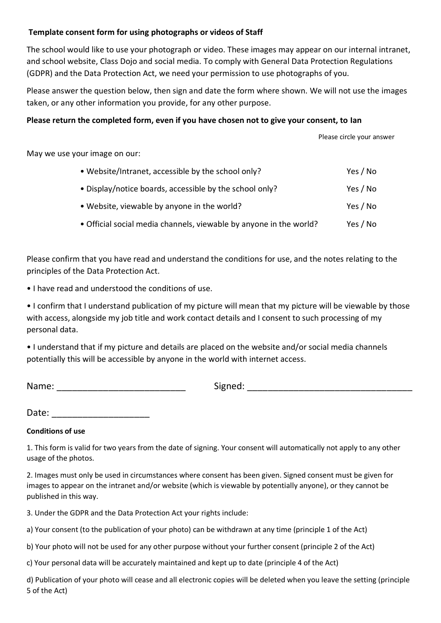#### **Template consent form for using photographs or videos of Staff**

The school would like to use your photograph or video. These images may appear on our internal intranet, and school website, Class Dojo and social media. To comply with General Data Protection Regulations (GDPR) and the Data Protection Act, we need your permission to use photographs of you.

Please answer the question below, then sign and date the form where shown. We will not use the images taken, or any other information you provide, for any other purpose.

#### **Please return the completed form, even if you have chosen not to give your consent, to Ian**

Please circle your answer

May we use your image on our:

| • Website/Intranet, accessible by the school only?                 | Yes / No |
|--------------------------------------------------------------------|----------|
| • Display/notice boards, accessible by the school only?            | Yes / No |
| • Website, viewable by anyone in the world?                        | Yes / No |
| • Official social media channels, viewable by anyone in the world? | Yes / No |

Please confirm that you have read and understand the conditions for use, and the notes relating to the principles of the Data Protection Act.

• I have read and understood the conditions of use.

• I confirm that I understand publication of my picture will mean that my picture will be viewable by those with access, alongside my job title and work contact details and I consent to such processing of my personal data.

• I understand that if my picture and details are placed on the website and/or social media channels potentially this will be accessible by anyone in the world with internet access.

| Name: |  |
|-------|--|
|       |  |

Name:  $Signed:$ 

Date:

# **Conditions of use**

1. This form is valid for two years from the date of signing. Your consent will automatically not apply to any other usage of the photos.

2. Images must only be used in circumstances where consent has been given. Signed consent must be given for images to appear on the intranet and/or website (which is viewable by potentially anyone), or they cannot be published in this way.

3. Under the GDPR and the Data Protection Act your rights include:

a) Your consent (to the publication of your photo) can be withdrawn at any time (principle 1 of the Act)

b) Your photo will not be used for any other purpose without your further consent (principle 2 of the Act)

c) Your personal data will be accurately maintained and kept up to date (principle 4 of the Act)

d) Publication of your photo will cease and all electronic copies will be deleted when you leave the setting (principle 5 of the Act)